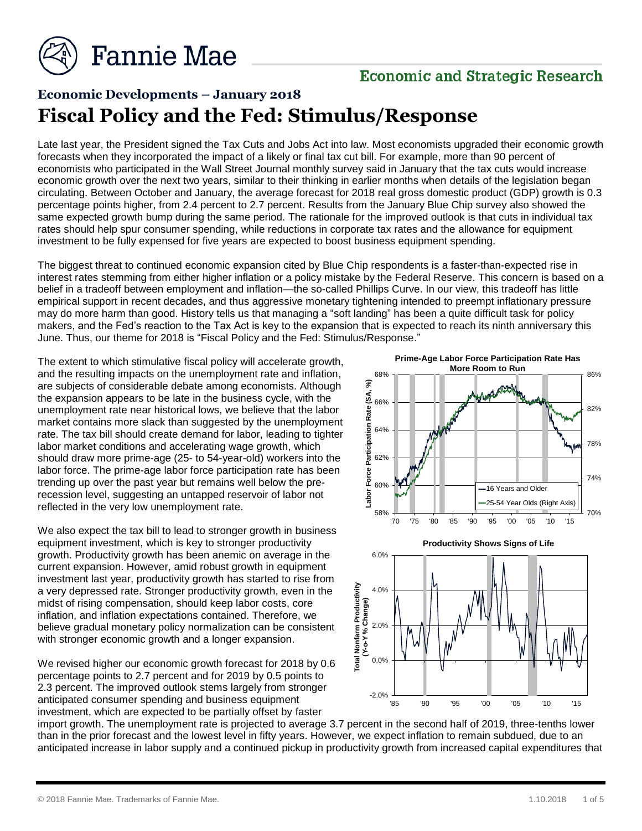

## **Economic and Strategic Research**

# **Economic Developments – January 2018 Fiscal Policy and the Fed: Stimulus/Response**

Late last year, the President signed the Tax Cuts and Jobs Act into law. Most economists upgraded their economic growth forecasts when they incorporated the impact of a likely or final tax cut bill. For example, more than 90 percent of economists who participated in the Wall Street Journal monthly survey said in January that the tax cuts would increase economic growth over the next two years, similar to their thinking in earlier months when details of the legislation began circulating. Between October and January, the average forecast for 2018 real gross domestic product (GDP) growth is 0.3 percentage points higher, from 2.4 percent to 2.7 percent. Results from the January Blue Chip survey also showed the same expected growth bump during the same period. The rationale for the improved outlook is that cuts in individual tax rates should help spur consumer spending, while reductions in corporate tax rates and the allowance for equipment investment to be fully expensed for five years are expected to boost business equipment spending.

The biggest threat to continued economic expansion cited by Blue Chip respondents is a faster-than-expected rise in interest rates stemming from either higher inflation or a policy mistake by the Federal Reserve. This concern is based on a belief in a tradeoff between employment and inflation—the so-called Phillips Curve. In our view, this tradeoff has little empirical support in recent decades, and thus aggressive monetary tightening intended to preempt inflationary pressure may do more harm than good. History tells us that managing a "soft landing" has been a quite difficult task for policy makers, and the Fed's reaction to the Tax Act is key to the expansion that is expected to reach its ninth anniversary this June. Thus, our theme for 2018 is "Fiscal Policy and the Fed: Stimulus/Response."

The extent to which stimulative fiscal policy will accelerate growth, and the resulting impacts on the unemployment rate and inflation, are subjects of considerable debate among economists. Although the expansion appears to be late in the business cycle, with the unemployment rate near historical lows, we believe that the labor market contains more slack than suggested by the unemployment rate. The tax bill should create demand for labor, leading to tighter labor market conditions and accelerating wage growth, which should draw more prime-age (25- to 54-year-old) workers into the labor force. The prime-age labor force participation rate has been trending up over the past year but remains well below the prerecession level, suggesting an untapped reservoir of labor not reflected in the very low unemployment rate.

We also expect the tax bill to lead to stronger growth in business equipment investment, which is key to stronger productivity growth. Productivity growth has been anemic on average in the current expansion. However, amid robust growth in equipment investment last year, productivity growth has started to rise from a very depressed rate. Stronger productivity growth, even in the midst of rising compensation, should keep labor costs, core inflation, and inflation expectations contained. Therefore, we believe gradual monetary policy normalization can be consistent with stronger economic growth and a longer expansion.

We revised higher our economic growth forecast for 2018 by 0.6 percentage points to 2.7 percent and for 2019 by 0.5 points to 2.3 percent. The improved outlook stems largely from stronger anticipated consumer spending and business equipment investment, which are expected to be partially offset by faster





import growth. The unemployment rate is projected to average 3.7 percent in the second half of 2019, three-tenths lower than in the prior forecast and the lowest level in fifty years. However, we expect inflation to remain subdued, due to an anticipated increase in labor supply and a continued pickup in productivity growth from increased capital expenditures that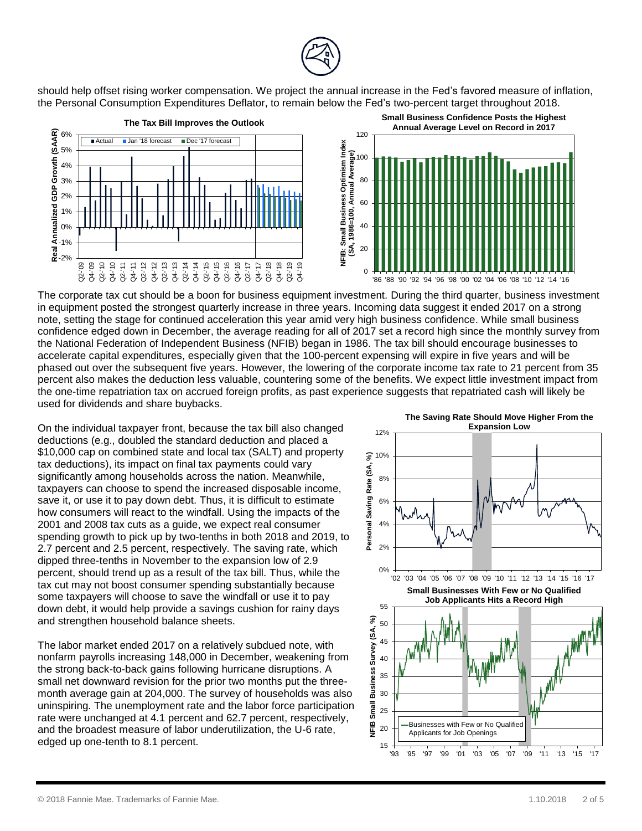

should help offset rising worker compensation. We project the annual increase in the Fed's favored measure of inflation, the Personal Consumption Expenditures Deflator, to remain below the Fed's two-percent target throughout 2018.



The corporate tax cut should be a boon for business equipment investment. During the third quarter, business investment in equipment posted the strongest quarterly increase in three years. Incoming data suggest it ended 2017 on a strong note, setting the stage for continued acceleration this year amid very high business confidence. While small business confidence edged down in December, the average reading for all of 2017 set a record high since the monthly survey from the National Federation of Independent Business (NFIB) began in 1986. The tax bill should encourage businesses to accelerate capital expenditures, especially given that the 100-percent expensing will expire in five years and will be phased out over the subsequent five years. However, the lowering of the corporate income tax rate to 21 percent from 35 percent also makes the deduction less valuable, countering some of the benefits. We expect little investment impact from the one-time repatriation tax on accrued foreign profits, as past experience suggests that repatriated cash will likely be used for dividends and share buybacks.

On the individual taxpayer front, because the tax bill also changed deductions (e.g., doubled the standard deduction and placed a \$10,000 cap on combined state and local tax (SALT) and property tax deductions), its impact on final tax payments could vary significantly among households across the nation. Meanwhile, taxpayers can choose to spend the increased disposable income, save it, or use it to pay down debt. Thus, it is difficult to estimate how consumers will react to the windfall. Using the impacts of the 2001 and 2008 tax cuts as a guide, we expect real consumer spending growth to pick up by two-tenths in both 2018 and 2019, to 2.7 percent and 2.5 percent, respectively. The saving rate, which dipped three-tenths in November to the expansion low of 2.9 percent, should trend up as a result of the tax bill. Thus, while the tax cut may not boost consumer spending substantially because some taxpayers will choose to save the windfall or use it to pay down debt, it would help provide a savings cushion for rainy days and strengthen household balance sheets.

The labor market ended 2017 on a relatively subdued note, with nonfarm payrolls increasing 148,000 in December, weakening from the strong back-to-back gains following hurricane disruptions. A small net downward revision for the prior two months put the threemonth average gain at 204,000. The survey of households was also uninspiring. The unemployment rate and the labor force participation rate were unchanged at 4.1 percent and 62.7 percent, respectively, and the broadest measure of labor underutilization, the U-6 rate, edged up one-tenth to 8.1 percent.

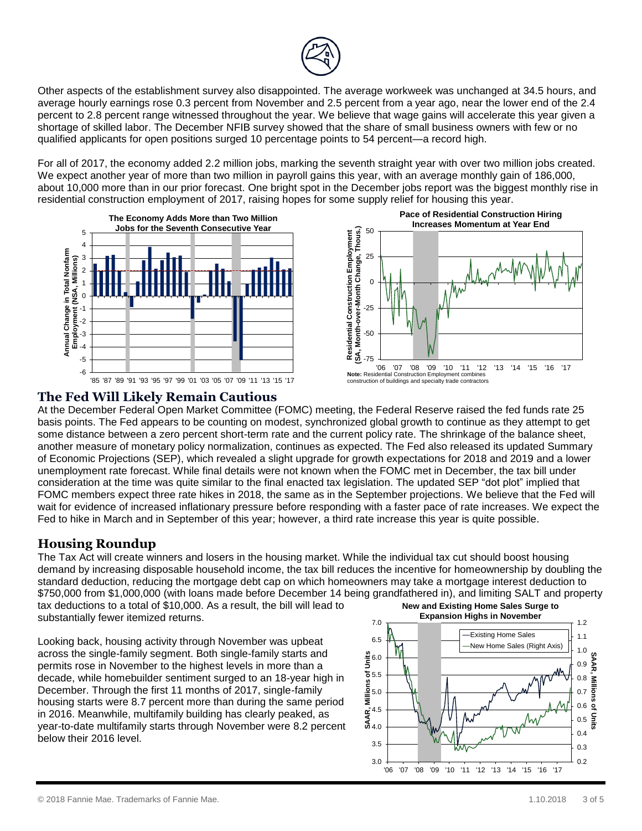

Other aspects of the establishment survey also disappointed. The average workweek was unchanged at 34.5 hours, and average hourly earnings rose 0.3 percent from November and 2.5 percent from a year ago, near the lower end of the 2.4 percent to 2.8 percent range witnessed throughout the year. We believe that wage gains will accelerate this year given a shortage of skilled labor. The December NFIB survey showed that the share of small business owners with few or no qualified applicants for open positions surged 10 percentage points to 54 percent—a record high.

For all of 2017, the economy added 2.2 million jobs, marking the seventh straight year with over two million jobs created. We expect another year of more than two million in payroll gains this year, with an average monthly gain of 186,000, about 10,000 more than in our prior forecast. One bright spot in the December jobs report was the biggest monthly rise in residential construction employment of 2017, raising hopes for some supply relief for housing this year.





#### **The Fed Will Likely Remain Cautious**

At the December Federal Open Market Committee (FOMC) meeting, the Federal Reserve raised the fed funds rate 25 basis points. The Fed appears to be counting on modest, synchronized global growth to continue as they attempt to get some distance between a zero percent short-term rate and the current policy rate. The shrinkage of the balance sheet, another measure of monetary policy normalization, continues as expected. The Fed also released its updated Summary of Economic Projections (SEP), which revealed a slight upgrade for growth expectations for 2018 and 2019 and a lower unemployment rate forecast. While final details were not known when the FOMC met in December, the tax bill under consideration at the time was quite similar to the final enacted tax legislation. The updated SEP "dot plot" implied that FOMC members expect three rate hikes in 2018, the same as in the September projections. We believe that the Fed will wait for evidence of increased inflationary pressure before responding with a faster pace of rate increases. We expect the Fed to hike in March and in September of this year; however, a third rate increase this year is quite possible.

#### **Housing Roundup**

The Tax Act will create winners and losers in the housing market. While the individual tax cut should boost housing demand by increasing disposable household income, the tax bill reduces the incentive for homeownership by doubling the standard deduction, reducing the mortgage debt cap on which homeowners may take a mortgage interest deduction to \$750,000 from \$1,000,000 (with loans made before December 14 being grandfathered in), and limiting SALT and property tax deductions to a total of \$10,000. As a result, the bill will lead to substantially fewer itemized returns. **New and Existing Home Sales Surge to Expansion Highs in November**

Looking back, housing activity through November was upbeat across the single-family segment. Both single-family starts and permits rose in November to the highest levels in more than a decade, while homebuilder sentiment surged to an 18-year high in December. Through the first 11 months of 2017, single-family housing starts were 8.7 percent more than during the same period in 2016. Meanwhile, multifamily building has clearly peaked, as year-to-date multifamily starts through November were 8.2 percent below their 2016 level.

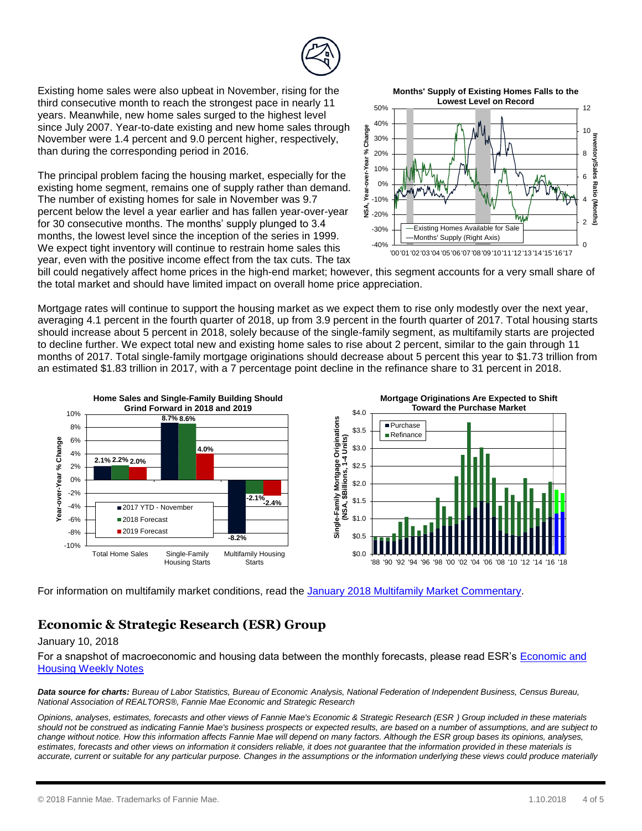

Existing home sales were also upbeat in November, rising for the third consecutive month to reach the strongest pace in nearly 11 years. Meanwhile, new home sales surged to the highest level since July 2007. Year-to-date existing and new home sales through November were 1.4 percent and 9.0 percent higher, respectively, than during the corresponding period in 2016.

The principal problem facing the housing market, especially for the existing home segment, remains one of supply rather than demand. The number of existing homes for sale in November was 9.7 percent below the level a year earlier and has fallen year-over-year for 30 consecutive months. The months' supply plunged to 3.4 months, the lowest level since the inception of the series in 1999. We expect tight inventory will continue to restrain home sales this year, even with the positive income effect from the tax cuts. The tax

**Months' Supply of Existing Homes Falls to the Lowest Level on Record**



bill could negatively affect home prices in the high-end market; however, this segment accounts for a very small share of the total market and should have limited impact on overall home price appreciation.

Mortgage rates will continue to support the housing market as we expect them to rise only modestly over the next year, averaging 4.1 percent in the fourth quarter of 2018, up from 3.9 percent in the fourth quarter of 2017. Total housing starts should increase about 5 percent in 2018, solely because of the single-family segment, as multifamily starts are projected to decline further. We expect total new and existing home sales to rise about 2 percent, similar to the gain through 11 months of 2017. Total single-family mortgage originations should decrease about 5 percent this year to \$1.73 trillion from an estimated \$1.83 trillion in 2017, with a 7 percentage point decline in the refinance share to 31 percent in 2018.



For information on multifamily market conditions, read the January 2018 [Multifamily Market Commentary.](http://www.fanniemae.com/resources/file/research/emma/pdf/MF_Market_Commentary_012218.pdf)

### **Economic & Strategic Research (ESR) Group**

#### January 10, 2018

For a snapshot of macroeconomic and housing data between the monthly forecasts, please read ESR's [Economic and](http://fanniemae.com/portal/research-insights/forecast/weekly-archive.html)  [Housing Weekly Notes](http://fanniemae.com/portal/research-insights/forecast/weekly-archive.html)

*Data source for charts: Bureau of Labor Statistics, Bureau of Economic Analysis, National Federation of Independent Business, Census Bureau, National Association of REALTORS®, Fannie Mae Economic and Strategic Research*

*Opinions, analyses, estimates, forecasts and other views of Fannie Mae's Economic & Strategic Research (ESR ) Group included in these materials should not be construed as indicating Fannie Mae's business prospects or expected results, are based on a number of assumptions, and are subject to change without notice. How this information affects Fannie Mae will depend on many factors. Although the ESR group bases its opinions, analyses, estimates, forecasts and other views on information it considers reliable, it does not guarantee that the information provided in these materials is accurate, current or suitable for any particular purpose. Changes in the assumptions or the information underlying these views could produce materially*